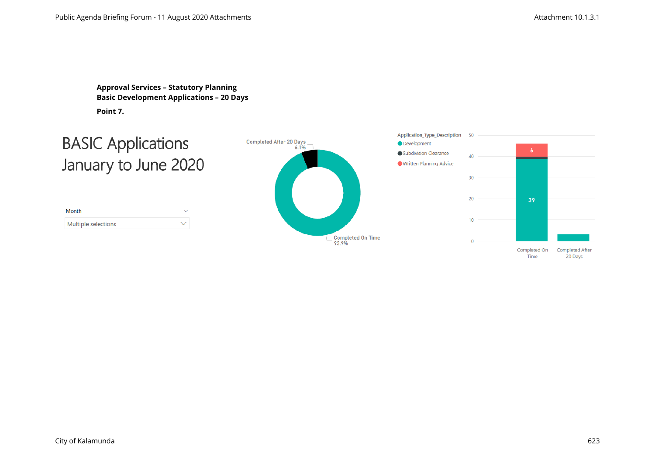**Approval Services – Statutory Planning Basic Development Applications – 20 Days Point 7.** 

# **BASIC Applications** January to June 2020

| Month               | $\checkmark$ |
|---------------------|--------------|
| Multiple selections |              |



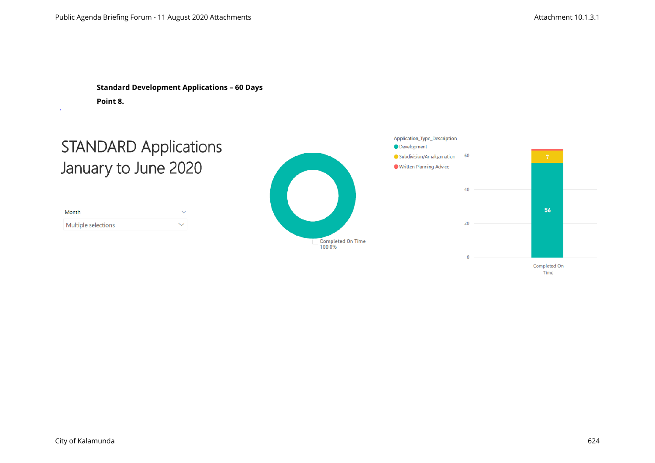**Standard Development Applications – 60 Days Point 8.**

# **STANDARD Applications** January to June 2020

| Month               | $\checkmark$ |
|---------------------|--------------|
| Multiple selections | ╰            |



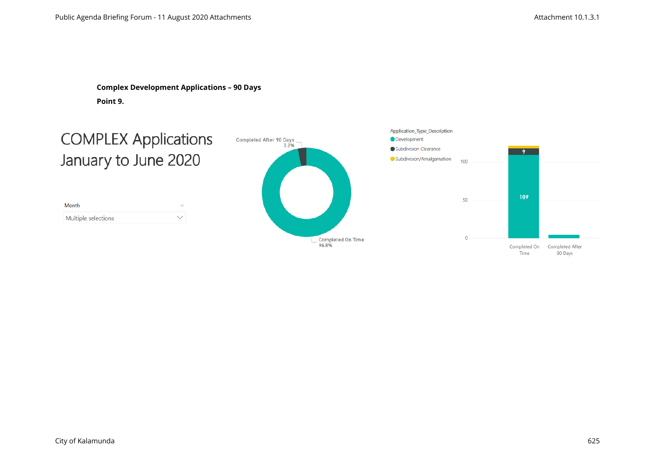**Complex Development Applications – 90 Days Point 9.**

# **COMPLEX Applications** January to June 2020

| Month               |   |
|---------------------|---|
| Multiple selections | ╰ |



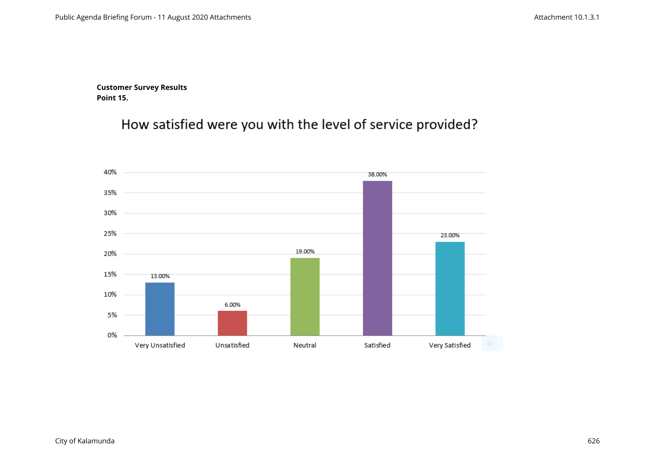**Customer Survey Results Point 15.**

How satisfied were you with the level of service provided?

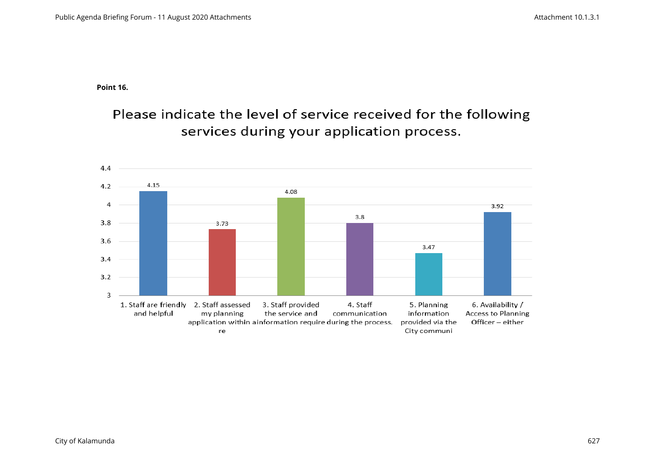**Point 16.**

Please indicate the level of service received for the following services during your application process.

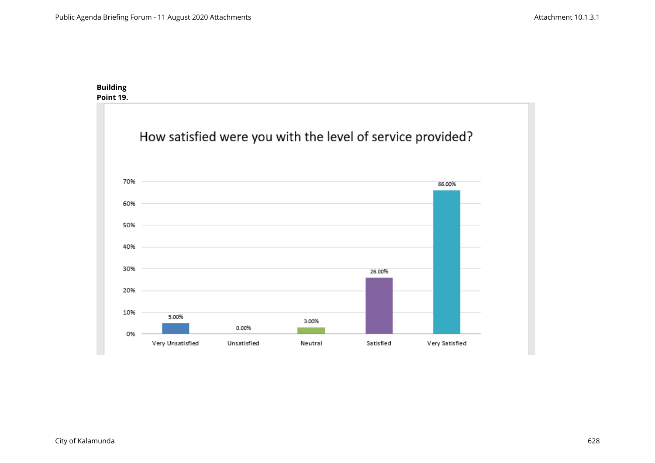#### **Building Point 19.**

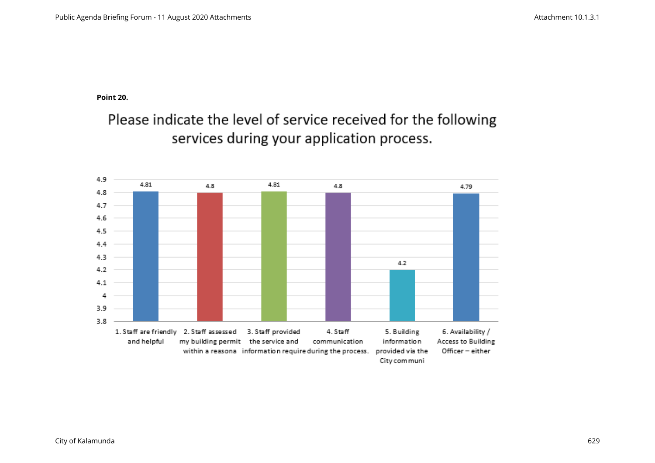**Point 20.** 

Please indicate the level of service received for the following services during your application process.

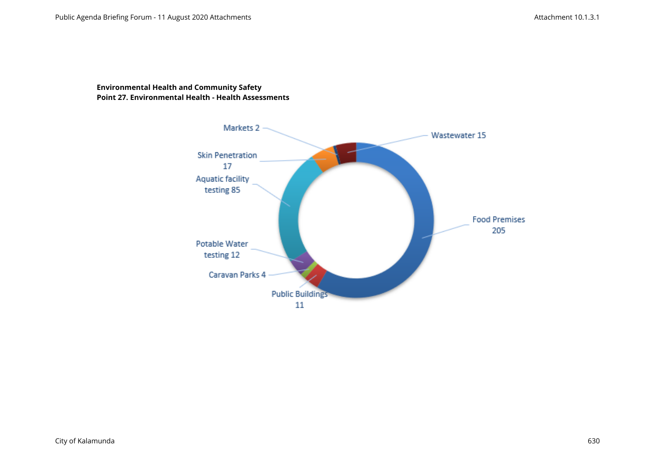### **Environmental Health and Community Safety Point 27. Environmental Health - Health Assessments**

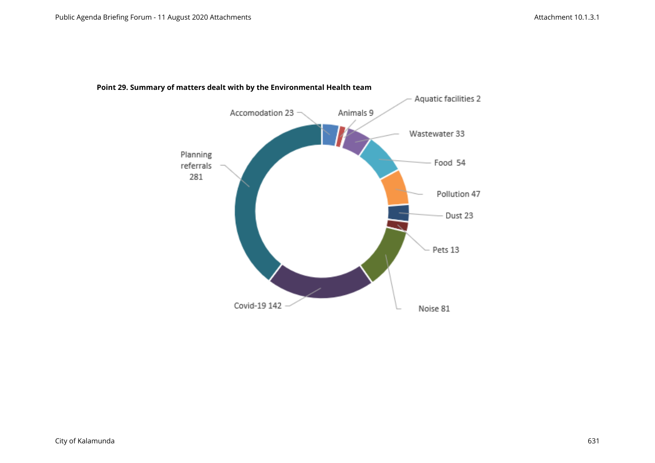

### **Point 29. Summary of matters dealt with by the Environmental Health team**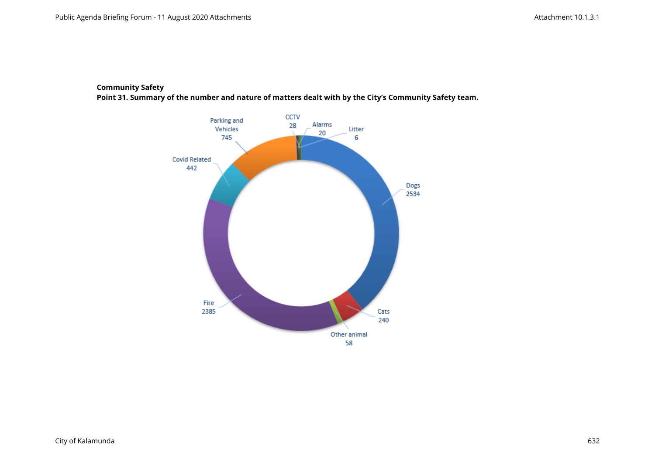### **Community Safety**

**Point 31. Summary of the number and nature of matters dealt with by the City's Community Safety team.**